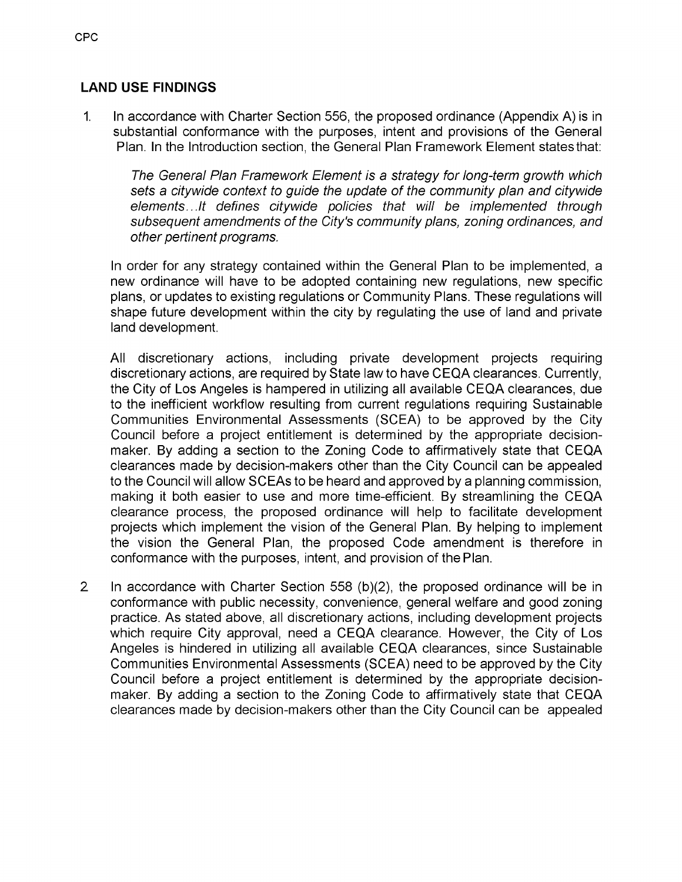## **LAND USE FINDINGS**

In accordance with Charter Section 556, the proposed ordinance (Appendix A) is in substantial conformance with the purposes, intent and provisions of the General Plan. In the Introduction section, the General Plan Framework Element states that: 1.

*The General Plan Framework Element is a strategy for long-term growth which sets a citywide context to guide the update of the community plan and citywide elements...It defines citywide policies that will be implemented through subsequent amendments ofthe City's community plans, zoning ordinances, and other pertinent programs.* 

In order for any strategy contained within the General Plan to be implemented, a new ordinance will have to be adopted containing new regulations, new specific plans, or updates to existing regulations or Community Plans. These regulations will shape future development within the city by regulating the use of land and private land development.

All discretionary actions, including private development projects requiring discretionary actions, are required by State law to have CEQA clearances. Currently, the City of Los Angeles is hampered in utilizing all available CEQA clearances, due to the inefficient workflow resulting from current regulations requiring Sustainable Communities Environmental Assessments (SCEA) to be approved by the City Council before a project entitlement is determined by the appropriate decisionmaker. By adding a section to the Zoning Code to affirmatively state that CEQA clearances made by decision-makers other than the City Council can be appealed to the Council will allow SCEAs to be heard and approved by a planning commission, making it both easier to use and more time-efficient. By streamlining the CEQA clearance process, the proposed ordinance will help to facilitate development projects which implement the vision of the General Plan. By helping to implement the vision the General Plan, the proposed Code amendment is therefore in conformance with the purposes, intent, and provision of the Plan.

In accordance with Charter Section 558 (b)(2), the proposed ordinance will be in conformance with public necessity, convenience, general welfare and good zoning practice. As stated above, all discretionary actions, including development projects which require City approval, need a CEQA clearance. However, the City of Los Angeles is hindered in utilizing all available CEQA clearances, since Sustainable Communities Environmental Assessments (SCEA) need to be approved by the City Council before a project entitlement is determined by the appropriate decisionmaker. By adding a section to the Zoning Code to affirmatively state that CEQA clearances made by decision-makers other than the City Council can be appealed 2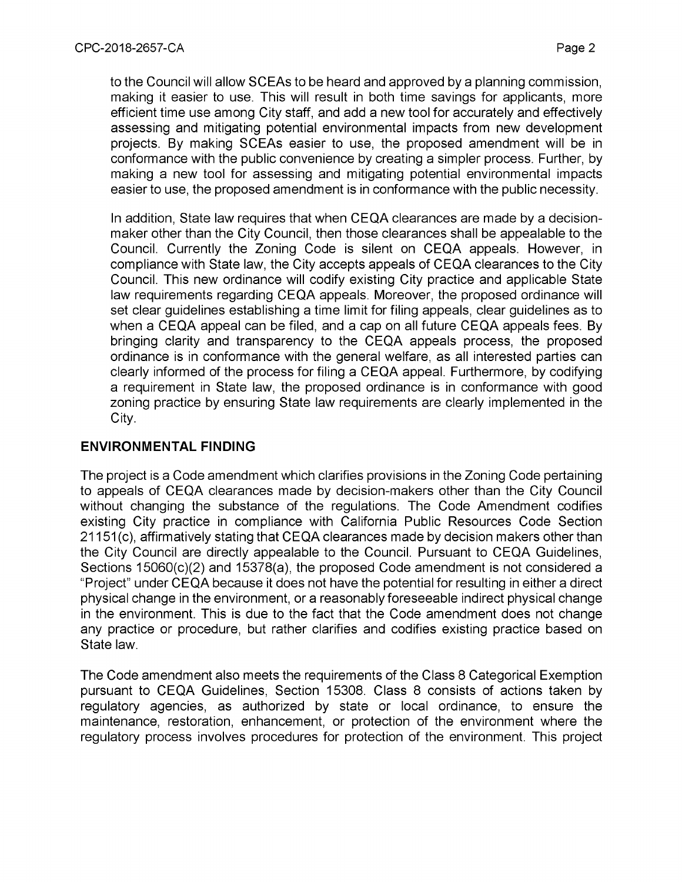to the Council will allow SCEAs to be heard and approved by a planning commission, making it easier to use. This will result in both time savings for applicants, more efficient time use among City staff, and add a new tool for accurately and effectively assessing and mitigating potential environmental impacts from new development projects. By making SCEAs easier to use, the proposed amendment will be in conformance with the public convenience by creating a simpler process. Further, by making a new tool for assessing and mitigating potential environmental impacts easier to use, the proposed amendment is in conformance with the public necessity.

In addition, State law requires that when CEQA clearances are made by a decisionmaker other than the City Council, then those clearances shall be appealable to the Council. Currently the Zoning Code is silent on CEQA appeals. However, in compliance with State law, the City accepts appeals of CEQA clearances to the City Council. This new ordinance will codify existing City practice and applicable State law requirements regarding CEQA appeals. Moreover, the proposed ordinance will set clear guidelines establishing a time limit for filing appeals, clear guidelines as to when a CEQA appeal can be filed, and a cap on all future CEQA appeals fees. By bringing clarity and transparency to the CEQA appeals process, the proposed ordinance is in conformance with the general welfare, as all interested parties can clearly informed of the process for filing a CEQA appeal. Furthermore, by codifying a requirement in State law, the proposed ordinance is in conformance with good zoning practice by ensuring State law requirements are clearly implemented in the City.

## **ENVIRONMENTAL FINDING**

The project is a Code amendment which clarifies provisions in the Zoning Code pertaining to appeals of CEQA clearances made by decision-makers other than the City Council without changing the substance of the regulations. The Code Amendment codifies existing City practice in compliance with California Public Resources Code Section 21151 (c), affirmatively stating that CEQA clearances made by decision makers other than the City Council are directly appealable to the Council. Pursuant to CEQA Guidelines, Sections 15060(c)(2) and 15378(a), the proposed Code amendment is not considered a "Project" under CEQA because it does not have the potential for resulting in either a direct physical change in the environment, ora reasonably foreseeable indirect physical change in the environment. This is due to the fact that the Code amendment does not change any practice or procedure, but rather clarifies and codifies existing practice based on State law.

The Code amendment also meets the requirements of the Class 8 Categorical Exemption pursuant to CEQA Guidelines, Section 15308. Class 8 consists of actions taken by regulatory agencies, as authorized by state or local ordinance, to ensure the maintenance, restoration, enhancement, or protection of the environment where the regulatory process involves procedures for protection of the environment. This project